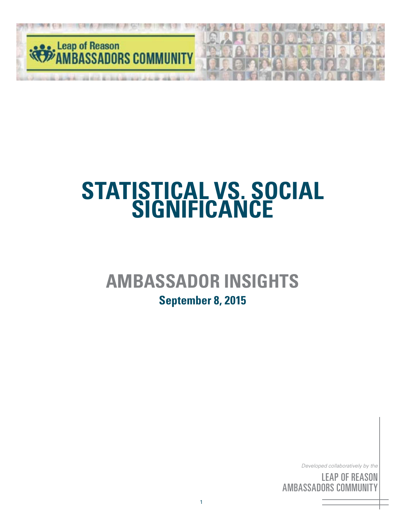

# **AMBASSADOR INSIGHTS**

### **September 8, 2015**

*Developed collaboratively by the*

<sup>/y }</sup><br>:A <sup>iy th</sup><br>SO<br>IIT *Developed collaboratively by the*<br>**LEAP OF REASON**<br>**AMBASSADORS COMMUNITY** LEAP OF REASON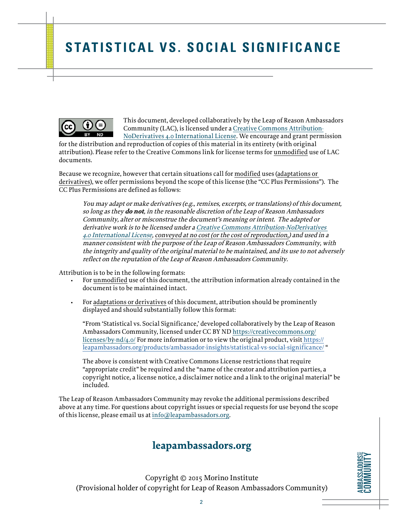

This document, developed collaboratively by the Leap of Reason Ambassadors Community (LAC), is licensed under a [Creative Commons Attribution-](https://creativecommons.org/licenses/by-nd/4.0/)[NoDerivatives 4.0 International License](https://creativecommons.org/licenses/by-nd/4.0/). We encourage and grant permission

for the distribution and reproduction of copies of this material in its entirety (with original attribution). Please refer to the Creative Commons link for license terms for unmodified use of LAC documents.

Because we recognize, however that certain situations call for modified uses (adaptations or derivatives), we offer permissions beyond the scope of this license (the "CC Plus Permissions"). The CC Plus Permissions are defined as follows:

You may adapt or make derivatives (e.g., remixes, excerpts, or translations) of this document, so long as they **do not**, in the reasonable discretion of the Leap of Reason Ambassadors Community, alter or misconstrue the document's meaning or intent. The adapted or derivative work is to be licensed under a [Creative Commons Attribution-NoDerivatives](https://creativecommons.org/licenses/by-nd/4.0/)  [4.0 International License](https://creativecommons.org/licenses/by-nd/4.0/), conveyed at no cost (or the cost of reproduction,) and used in a manner consistent with the purpose of the Leap of Reason Ambassadors Community, with the integrity and quality of the original material to be maintained, and its use to not adversely reflect on the reputation of the Leap of Reason Ambassadors Community.

Attribution is to be in the following formats:

- For unmodified use of this document, the attribution information already contained in the document is to be maintained intact.
- For adaptations or derivatives of this document, attribution should be prominently displayed and should substantially follow this format:

"From 'Statistical vs. Social Significance,' developed collaboratively by the Leap of Reason Ambassadors Community, licensed under CC BY ND [https://creativecommons.org/](https://creativecommons.org/licenses/by-nd/4.0/) [licenses/by-nd/4.0/](https://creativecommons.org/licenses/by-nd/4.0/) For more information or to view the original product, visi[t https://]( https://leapambassadors.org/products/ambassador-insights/statistical-vs-social-significance/) [leapambassadors.org/products/ambassador-insights/statistical-vs-social-significance/]( https://leapambassadors.org/products/ambassador-insights/statistical-vs-social-significance/) "

The above is consistent with Creative Commons License restrictions that require "appropriate credit" be required and the "name of the creator and attribution parties, a copyright notice, a license notice, a disclaimer notice and a link to the original material" be included.

The Leap of Reason Ambassadors Community may revoke the additional permissions described above at any time. For questions about copyright issues or special requests for use beyond the scope of this license, please email us at [info@leapambassadors.org](mailto:info%40leapambassadors.org?subject=).

### **leapambassadors.org**

Copyright © 2015 Morino Institute (Provisional holder of copyright for Leap of Reason Ambassadors Community)

**AMBASSADURSE CUMMUNITY AMBASSADORS** COMMUNITY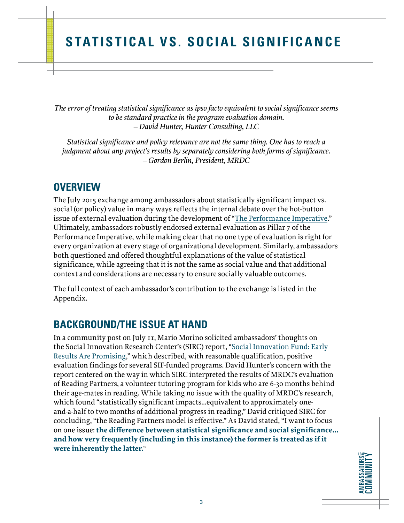*The error of treating statistical significance as ipso facto equivalent to social significance seems to be standard practice in the program evaluation domain. – David Hunter, Hunter Consulting, LLC*

*Statistical significance and policy relevance are not the same thing. One has to reach a judgment about any project's results by separately considering both forms of significance. – Gordon Berlin, President, MRDC*

### **OVERVIEW**

The July 2015 exchange among ambassadors about statistically significant impact vs. social (or policy) value in many ways reflects the internal debate over the hot-button issue of external evaluation during the development of "[The Performance Imperative](http://leapofreason.org/performance-imperative/)." Ultimately, ambassadors robustly endorsed external evaluation as Pillar 7 of the Performance Imperative, while making clear that no one type of evaluation is right for every organization at every stage of organizational development. Similarly, ambassadors both questioned and offered thoughtful explanations of the value of statistical significance, while agreeing that it is not the same as social value and that additional context and considerations are necessary to ensure socially valuable outcomes.

The full context of each ambassador's contribution to the exchange is listed in the Appendix.

### **BACKGROUND/THE ISSUE AT HAND**

In a community post on July 11, Mario Morino solicited ambassadors' thoughts on the Social Innovation Research Center's (SIRC) report, ["Social Innovation Fund: Early](http://socialinnovationcenter.org/wp-content/uploads/2015/07/Social_Innovation_Fund-2015-06-30.pdf)  [Results Are Promising,](http://socialinnovationcenter.org/wp-content/uploads/2015/07/Social_Innovation_Fund-2015-06-30.pdf)" which described, with reasonable qualification, positive evaluation findings for several SIF-funded programs. David Hunter's concern with the report centered on the way in which SIRC interpreted the results of MRDC's evaluation of Reading Partners, a volunteer tutoring program for kids who are 6-30 months behind their age-mates in reading. While taking no issue with the quality of MRDC's research, which found "statistically significant impacts…equivalent to approximately oneand-a-half to two months of additional progress in reading," David critiqued SIRC for concluding, "the Reading Partners model is effective." As David stated, "I want to focus on one issue: **the difference between statistical significance and social significance... and how very frequently (including in this instance) the former is treated as if it were inherently the latter.**"

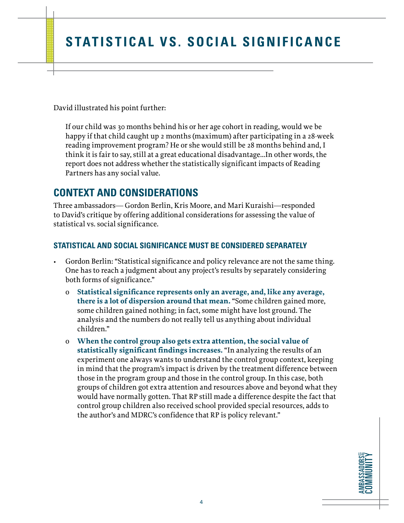David illustrated his point further:

If our child was 30 months behind his or her age cohort in reading, would we be happy if that child caught up 2 months (maximum) after participating in a 28-week reading improvement program? He or she would still be 28 months behind and, I think it is fair to say, still at a great educational disadvantage…In other words, the report does not address whether the statistically significant impacts of Reading Partners has any social value.

### **CONTEXT AND CONSIDERATIONS**

Three ambassadors— Gordon Berlin, Kris Moore, and Mari Kuraishi—responded to David's critique by offering additional considerations for assessing the value of statistical vs. social significance.

### **STATISTICAL AND SOCIAL SIGNIFICANCE MUST BE CONSIDERED SEPARATELY**

- Gordon Berlin: "Statistical significance and policy relevance are not the same thing. One has to reach a judgment about any project's results by separately considering both forms of significance."
	- o **Statistical significance represents only an average, and, like any average, there is a lot of dispersion around that mean.** "Some children gained more, some children gained nothing; in fact, some might have lost ground. The analysis and the numbers do not really tell us anything about individual children."
	- o **When the control group also gets extra attention, the social value of statistically significant findings increases.** "In analyzing the results of an experiment one always wants to understand the control group context, keeping in mind that the program's impact is driven by the treatment difference between those in the program group and those in the control group. In this case, both groups of children got extra attention and resources above and beyond what they would have normally gotten. That RP still made a difference despite the fact that control group children also received school provided special resources, adds to the author's and MDRC's confidence that RP is policy relevant."

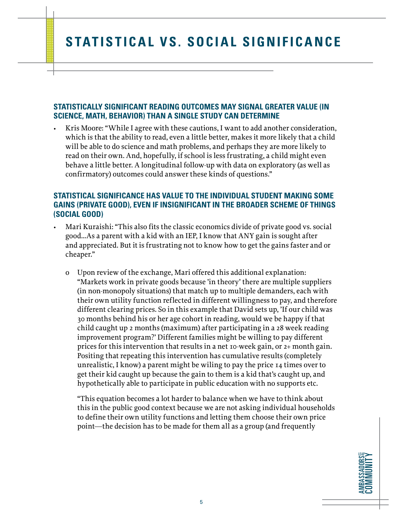#### **STATISTICALLY SIGNIFICANT READING OUTCOMES MAY SIGNAL GREATER VALUE (IN SCIENCE, MATH, BEHAVIOR) THAN A SINGLE STUDY CAN DETERMINE**

• Kris Moore: "While I agree with these cautions, I want to add another consideration, which is that the ability to read, even a little better, makes it more likely that a child will be able to do science and math problems, and perhaps they are more likely to read on their own. And, hopefully, if school is less frustrating, a child might even behave a little better. A longitudinal follow-up with data on exploratory (as well as confirmatory) outcomes could answer these kinds of questions."

#### **STATISTICAL SIGNIFICANCE HAS VALUE TO THE INDIVIDUAL STUDENT MAKING SOME GAINS (PRIVATE GOOD), EVEN IF INSIGNIFICANT IN THE BROADER SCHEME OF THINGS (SOCIAL GOOD)**

- Mari Kuraishi: "This also fits the classic economics divide of private good vs. social good…As a parent with a kid with an IEP, I know that ANY gain is sought after and appreciated. But it is frustrating not to know how to get the gains faster and or cheaper."
	- o Upon review of the exchange, Mari offered this additional explanation: "Markets work in private goods because 'in theory' there are multiple suppliers (in non-monopoly situations) that match up to multiple demanders, each with their own utility function reflected in different willingness to pay, and therefore different clearing prices. So in this example that David sets up, 'If our child was 30 months behind his or her age cohort in reading, would we be happy if that child caught up 2 months (maximum) after participating in a 28 week reading improvement program?' Different families might be willing to pay different prices for this intervention that results in a net 10-week gain, or 2+ month gain. Positing that repeating this intervention has cumulative results (completely unrealistic, I know) a parent might be wiling to pay the price 14 times over to get their kid caught up because the gain to them is a kid that's caught up, and hypothetically able to participate in public education with no supports etc.

"This equation becomes a lot harder to balance when we have to think about this in the public good context because we are not asking individual households to define their own utility functions and letting them choose their own price point—the decision has to be made for them all as a group (and frequently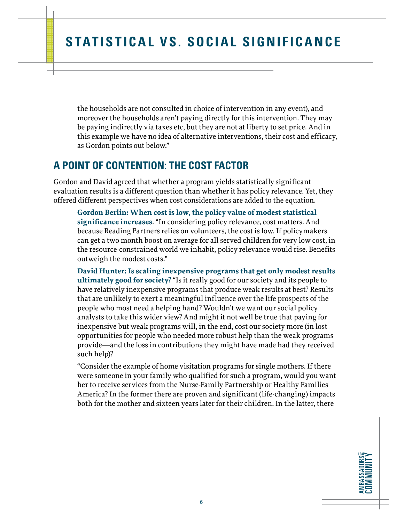the households are not consulted in choice of intervention in any event), and moreover the households aren't paying directly for this intervention. They may be paying indirectly via taxes etc, but they are not at liberty to set price. And in this example we have no idea of alternative interventions, their cost and efficacy, as Gordon points out below."

### **A POINT OF CONTENTION: THE COST FACTOR**

Gordon and David agreed that whether a program yields statistically significant evaluation results is a different question than whether it has policy relevance. Yet, they offered different perspectives when cost considerations are added to the equation.

**Gordon Berlin: When cost is low, the policy value of modest statistical significance increases**. "In considering policy relevance, cost matters. And because Reading Partners relies on volunteers, the cost is low. If policymakers can get a two month boost on average for all served children for very low cost, in the resource-constrained world we inhabit, policy relevance would rise. Benefits outweigh the modest costs."

**David Hunter: Is scaling inexpensive programs that get only modest results ultimately good for society?** "Is it really good for our society and its people to have relatively inexpensive programs that produce weak results at best? Results that are unlikely to exert a meaningful influence over the life prospects of the people who most need a helping hand? Wouldn't we want our social policy analysts to take this wider view? And might it not well be true that paying for inexpensive but weak programs will, in the end, cost our society more (in lost opportunities for people who needed more robust help than the weak programs provide—and the loss in contributions they might have made had they received such help)?

"Consider the example of home visitation programs for single mothers. If there were someone in your family who qualified for such a program, would you want her to receive services from the Nurse-Family Partnership or Healthy Families America? In the former there are proven and significant (life-changing) impacts both for the mother and sixteen years later for their children. In the latter, there

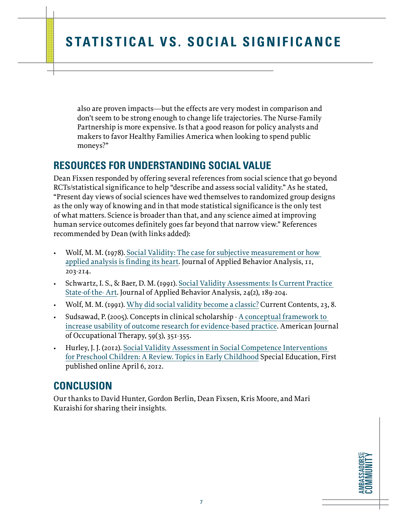also are proven impacts—but the effects are very modest in comparison and don't seem to be strong enough to change life trajectories. The Nurse-Family Partnership is more expensive. Is that a good reason for policy analysts and makers to favor Healthy Families America when looking to spend public moneys?"

### **RESOURCES FOR UNDERSTANDING SOCIAL VALUE**

Dean Fixsen responded by offering several references from social science that go beyond RCTs/statistical significance to help "describe and assess social validity." As he stated, "Present day views of social sciences have wed themselves to randomized group designs as the only way of knowing and in that mode statistical significance is the only test of what matters. Science is broader than that, and any science aimed at improving human service outcomes definitely goes far beyond that narrow view." References recommended by Dean (with links added):

- Wolf, M. M. (1978). [Social Validity: The case for subjective measurement or how](http://www.ncbi.nlm.nih.gov/pmc/articles/PMC1311293/)  [applied analysis is finding its heart.](http://www.ncbi.nlm.nih.gov/pmc/articles/PMC1311293/) Journal of Applied Behavior Analysis, 11, 203-214.
- Schwartz, I. S., & Baer, D. M. (1991). [Social Validity Assessments: Is Current Practice](http://www.ncbi.nlm.nih.gov/pmc/articles/PMC1279564/)  [State-of-the- Art](http://www.ncbi.nlm.nih.gov/pmc/articles/PMC1279564/). Journal of Applied Behavior Analysis, 24(2), 189-204.
- Wolf, M. M. (1991). [Why did social validity become a classic?](http://garfield.library.upenn.edu/classics1991/A1991EQ23700001.pdf) Current Contents, 23, 8.
- Sudsawad, P. (2005). Concepts in clinical scholarship [A conceptual framework to](http://ajot.aota.org/article.aspx%3Farticleid%3D1871712)  [increase usability of outcome research for evidence-based practice.](http://ajot.aota.org/article.aspx%3Farticleid%3D1871712) American Journal of Occupational Therapy, 59(3), 351-355.
- Hurley, J. J. (2012). [Social Validity Assessment in Social Competence Interventions](http://tec.sagepub.com/content/32/3/164.short)  [for Preschool Children: A Review. Topics in Early Childhood](http://tec.sagepub.com/content/32/3/164.short) Special Education, First published online April 6, 2012.

### **CONCLUSION**

Our thanks to David Hunter, Gordon Berlin, Dean Fixsen, Kris Moore, and Mari Kuraishi for sharing their insights.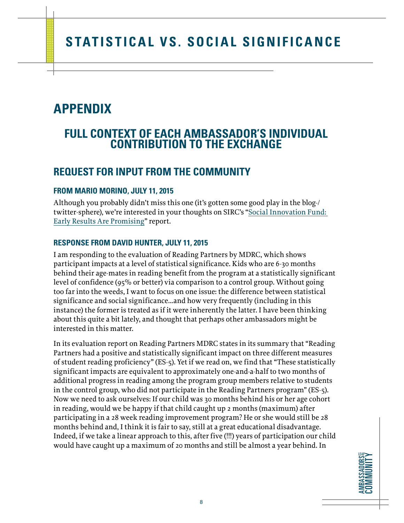# **APPENDIX**

### **FULL CONTEXT OF EACH AMBASSADOR'S INDIVIDUAL CONTRIBUTION TO THE EXCHANGE**

### **REQUEST FOR INPUT FROM THE COMMUNITY**

### **FROM MARIO MORINO, JULY 11, 2015**

Although you probably didn't miss this one (it's gotten some good play in the blog-/ twitter-sphere), we're interested in your thoughts on SIRC's "[Social Innovation Fund:](http://socialinnovationcenter.org/wp-content/uploads/2015/07/Social_Innovation_Fund-2015-06-30.pdf)  [Early Results Are Promising"](http://socialinnovationcenter.org/wp-content/uploads/2015/07/Social_Innovation_Fund-2015-06-30.pdf) report.

### **RESPONSE FROM DAVID HUNTER, JULY 11, 2015**

I am responding to the evaluation of Reading Partners by MDRC, which shows participant impacts at a level of statistical significance. Kids who are 6-30 months behind their age-mates in reading benefit from the program at a statistically significant level of confidence (95% or better) via comparison to a control group. Without going too far into the weeds, I want to focus on one issue: the difference between statistical significance and social significance...and how very frequently (including in this instance) the former is treated as if it were inherently the latter. I have been thinking about this quite a bit lately, and thought that perhaps other ambassadors might be interested in this matter.

In its evaluation report on Reading Partners MDRC states in its summary that "Reading Partners had a positive and statistically significant impact on three different measures of student reading proficiency" (ES-5). Yet if we read on, we find that "These statistically significant impacts are equivalent to approximately one-and-a-half to two months of additional progress in reading among the program group members relative to students in the control group, who did not participate in the Reading Partners program" (ES-5). Now we need to ask ourselves: If our child was 30 months behind his or her age cohort in reading, would we be happy if that child caught up 2 months (maximum) after participating in a 28 week reading improvement program? He or she would still be 28 months behind and, I think it is fair to say, still at a great educational disadvantage. Indeed, if we take a linear approach to this, after five (!!!) years of participation our child would have caught up a maximum of 20 months and still be almost a year behind. In

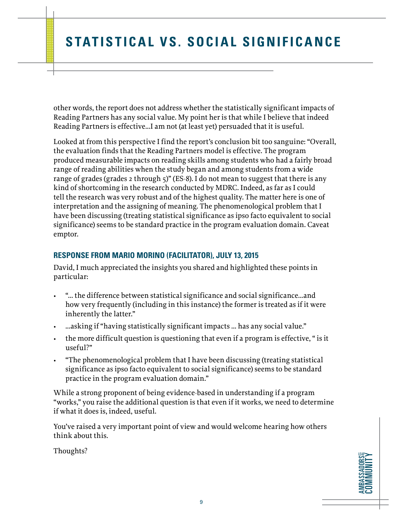other words, the report does not address whether the statistically significant impacts of Reading Partners has any social value. My point her is that while I believe that indeed Reading Partners is effective...I am not (at least yet) persuaded that it is useful.

Looked at from this perspective I find the report's conclusion bit too sanguine: "Overall, the evaluation finds that the Reading Partners model is effective. The program produced measurable impacts on reading skills among students who had a fairly broad range of reading abilities when the study began and among students from a wide range of grades (grades 2 through 5)" (ES-8). I do not mean to suggest that there is any kind of shortcoming in the research conducted by MDRC. Indeed, as far as I could tell the research was very robust and of the highest quality. The matter here is one of interpretation and the assigning of meaning. The phenomenological problem that I have been discussing (treating statistical significance as ipso facto equivalent to social significance) seems to be standard practice in the program evaluation domain. Caveat emptor.

#### **RESPONSE FROM MARIO MORINO (FACILITATOR), JULY 13, 2015**

David, I much appreciated the insights you shared and highlighted these points in particular:

- "… the difference between statistical significance and social significance...and how very frequently (including in this instance) the former is treated as if it were inherently the latter."
- ...asking if "having statistically significant impacts … has any social value."
- the more difficult question is questioning that even if a program is effective, " is it useful?"
- "The phenomenological problem that I have been discussing (treating statistical significance as ipso facto equivalent to social significance) seems to be standard practice in the program evaluation domain."

While a strong proponent of being evidence-based in understanding if a program "works," you raise the additional question is that even if it works, we need to determine if what it does is, indeed, useful.

You've raised a very important point of view and would welcome hearing how others think about this.

Thoughts?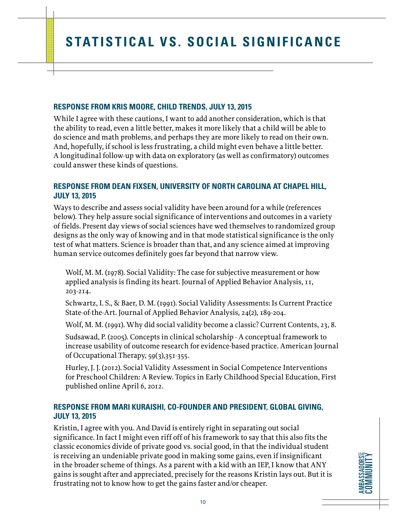#### **RESPONSE FROM KRIS MOORE, CHILD TRENDS, JULY 13, 2015**

While I agree with these cautions, I want to add another consideration, which is that the ability to read, even a little better, makes it more likely that a child will be able to do science and math problems, and perhaps they are more likely to read on their own. And, hopefully, if school is less frustrating, a child might even behave a little better. A longitudinal follow-up with data on exploratory (as well as confirmatory) outcomes could answer these kinds of questions.

#### **RESPONSE FROM DEAN FIXSEN, UNIVERSITY OF NORTH CAROLINA AT CHAPEL HILL, JULY 13, 2015**

Ways to describe and assess social validity have been around for a while (references below). They help assure social significance of interventions and outcomes in a variety of fields. Present day views of social sciences have wed themselves to randomized group designs as the only way of knowing and in that mode statistical significance is the only test of what matters. Science is broader than that, and any science aimed at improving human service outcomes definitely goes far beyond that narrow view.

Wolf, M. M. (1978). Social Validity: The case for subjective measurement or how applied analysis is finding its heart. Journal of Applied Behavior Analysis, 11, 203-214.

Schwartz, I. S., & Baer, D. M. (1991). Social Validity Assessments: Is Current Practice State-of-the-Art. Journal of Applied Behavior Analysis, 24(2), 189-204.

Wolf, M. M. (1991). Why did social validity become a classic? Current Contents, 23, 8.

Sudsawad, P. (2005). Concepts in clinical scholarship - A conceptual framework to increase usability of outcome research for evidence-based practice. American Journal of Occupational Therapy, 59(3),351-355.

Hurley, J. J. (2012). Social Validity Assessment in Social Competence Interventions for Preschool Children: A Review. Topics in Early Childhood Special Education, First published online April 6, 2012.

### **RESPONSE FROM MARI KURAISHI, CO-FOUNDER AND PRESIDENT, GLOBAL GIVING, JULY 13, 2015**

Kristin, I agree with you. And David is entirely right in separating out social significance. In fact I might even riff off of his framework to say that this also fits the classic economics divide of private good vs. social good, in that the individual student is receiving an undeniable private good in making some gains, even if insignificant in the broader scheme of things. As a parent with a kid with an IEP, I know that ANY gains is sought after and appreciated, precisely for the reasons Kristin lays out. But it is frustrating not to know how to get the gains faster and/or cheaper.

**AMBASSADORSE COMMUNITY AMBASSADORS** COMMUNITY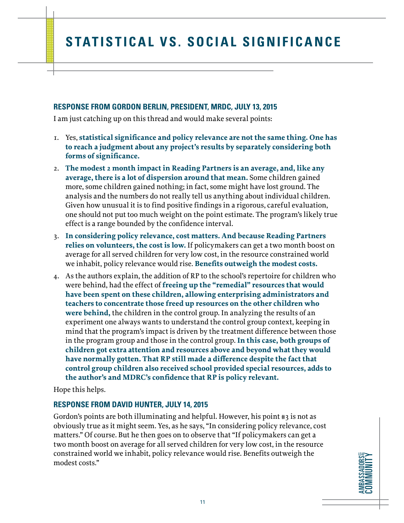#### **RESPONSE FROM GORDON BERLIN, PRESIDENT, MRDC, JULY 13, 2015**

I am just catching up on this thread and would make several points:

- 1. Yes, **statistical significance and policy relevance are not the same thing. One has to reach a judgment about any project's results by separately considering both forms of significance.**
- 2. **The modest 2 month impact in Reading Partners is an average, and, like any average, there is a lot of dispersion around that mean.** Some children gained more, some children gained nothing; in fact, some might have lost ground. The analysis and the numbers do not really tell us anything about individual children. Given how unusual it is to find positive findings in a rigorous, careful evaluation, one should not put too much weight on the point estimate. The program's likely true effect is a range bounded by the confidence interval.
- 3. **In considering policy relevance, cost matters. And because Reading Partners relies on volunteers, the cost is low.** If policymakers can get a two month boost on average for all served children for very low cost, in the resource constrained world we inhabit, policy relevance would rise. **Benefits outweigh the modest costs.**
- 4. As the authors explain, the addition of RP to the school's repertoire for children who were behind, had the effect of **freeing up the "remedial" resources that would have been spent on these children, allowing enterprising administrators and teachers to concentrate those freed up resources on the other children who were behind,** the children in the control group. In analyzing the results of an experiment one always wants to understand the control group context, keeping in mind that the program's impact is driven by the treatment difference between those in the program group and those in the control group. **In this case, both groups of children got extra attention and resources above and beyond what they would have normally gotten. That RP still made a difference despite the fact that control group children also received school provided special resources, adds to the author's and MDRC's confidence that RP is policy relevant.**

Hope this helps.

#### **RESPONSE FROM DAVID HUNTER, JULY 14, 2015**

Gordon's points are both illuminating and helpful. However, his point #3 is not as obviously true as it might seem. Yes, as he says, "In considering policy relevance, cost matters." Of course. But he then goes on to observe that "If policymakers can get a two month boost on average for all served children for very low cost, in the resource constrained world we inhabit, policy relevance would rise. Benefits outweigh the modest costs."